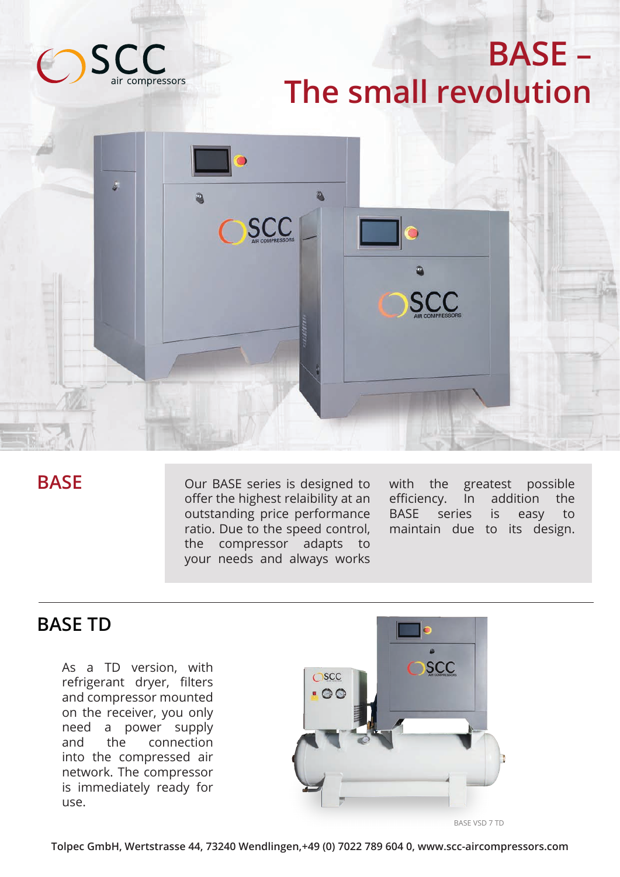

## **BASE – The small revolution**



### **BASE**

Our BASE series is designed to offer the highest relaibility at an outstanding price performance ratio. Due to the speed control, the compressor adapts to your needs and always works

with the greatest possible efficiency. In addition the BASE series is easy to maintain due to its design.

### **BASE TD**

As a TD version, with refrigerant dryer, filters and compressor mounted on the receiver, you only need a power supply and the connection into the compressed air network. The compressor is immediately ready for use.



BASE VSD 7 TD